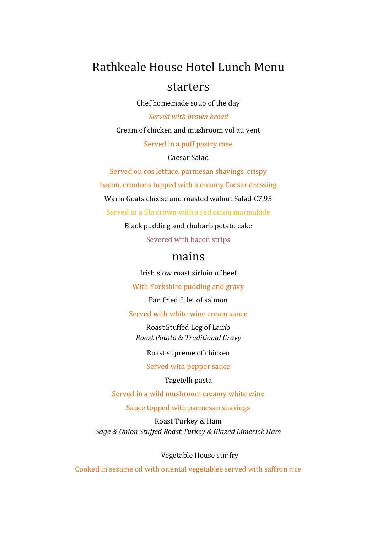## Rathkeale House Hotel Lunch Menu starters

Chef homemade soup of the day Served with brown bread

Cream of chicken and mushroom vol au vent Served in a puff pastry case

Caesar Salad

Served on cos lettuce, parmesan shavings, crispy bacon, croutons topped with a creamy Caesar dressing Warm Goats cheese and roasted walnut Salad €7.95 Served in a filo crown with a red onion marmalade

Black pudding and rhubarb potato cake

Severed with bacon strips

## mains

Irish slow roast sirloin of beef

With Yorkshire pudding and gravy

Pan fried fillet of salmon

Served with white wine cream sauce

Roast Stuffed Leg of Lamb Roast Potato & Traditional Gravy

Roast supreme of chicken

Served with pepper sauce

Tagetelli pasta

Served in a wild mushroom creamy white wine

Sauce topped with parmesan shavings

Roast Turkey & Ham Sage & Onion Stuffed Roast Turkey & Glazed Limerick Ham

Vegetable House stir fry

Cooked in sesame oil with oriental vegetables served with saffron rice